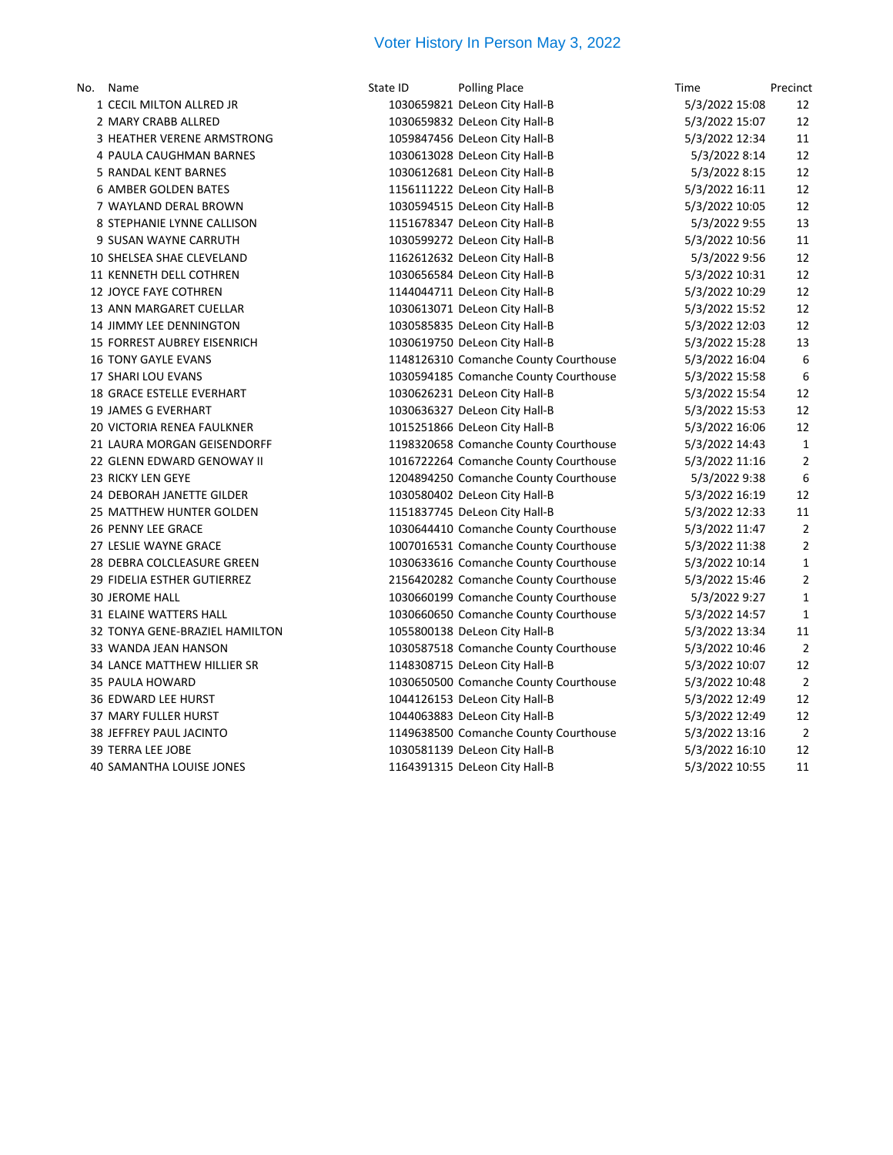## Voter History In Person May 3, 2022

| ١o. | Name                               |
|-----|------------------------------------|
|     | 1 CECIL MILTON ALLRED JR           |
|     | 2 MARY CRABB ALLRED                |
| 3   | HEATHER VERENE ARMSTRONG           |
|     | 4 PAULA CAUGHMAN BARNES            |
|     | 5 RANDAL KENT BARNES               |
|     | 6 AMBER GOLDEN BATES               |
|     | 7 WAYLAND DERAL BROWN              |
|     | 8 STEPHANIE LYNNE CALLISON         |
|     | 9 SUSAN WAYNE CARRUTH              |
|     | 10 SHELSEA SHAE CLEVELAND          |
|     | 11 KENNETH DELL COTHREN            |
|     | 12 JOYCE FAYE COTHREN              |
|     | 13 ANN MARGARET CUELLAR            |
|     | <b>14 JIMMY LEE DENNINGTON</b>     |
|     | <b>15 FORREST AUBREY EISENRICH</b> |
|     | <b>16 TONY GAYLE EVANS</b>         |
|     | 17 SHARI LOU EVANS                 |
|     | 18 GRACE ESTELLE EVERHART          |
|     | <b>19 JAMES G EVERHART</b>         |
|     | 20 VICTORIA RENEA FAULKNER         |
|     | 21 LAURA MORGAN GEISENDORFF        |
|     | 22 GLENN EDWARD GENOWAY II         |
|     | 23 RICKY LEN GEYE                  |
|     | 24 DEBORAH JANETTE GILDER          |
|     | 25 MATTHEW HUNTER GOLDEN           |
|     | 26 PENNY LEE GRACE                 |
|     | 27 LESLIE WAYNE GRACE              |
|     | 28 DEBRA COLCLEASURE GREEN         |
|     | 29 FIDELIA ESTHER GUTIERREZ        |
|     | <b>30 JEROME HALL</b>              |
|     | 31 ELAINE WATTERS HALL             |
|     | 32 TONYA GENE-BRAZIEL HAMILTON     |
|     | 33 WANDA JEAN HANSON               |
|     | 34 LANCE MATTHEW HILLIER SR        |
|     | 35 PAULA HOWARD                    |
|     | 36 EDWARD LEE HURST                |
|     | 37 MARY FULLER HURST               |
|     | <b>38 JEFFREY PAUL JACINTO</b>     |
|     | <b>39 TERRA LEE JOBE</b>           |

| No. | Name                           | State ID | <b>Polling Place</b>                  | Time           | Precinct       |
|-----|--------------------------------|----------|---------------------------------------|----------------|----------------|
|     | 1 CECIL MILTON ALLRED JR       |          | 1030659821 DeLeon City Hall-B         | 5/3/2022 15:08 | 12             |
|     | 2 MARY CRABB ALLRED            |          | 1030659832 DeLeon City Hall-B         | 5/3/2022 15:07 | 12             |
|     | 3 HEATHER VERENE ARMSTRONG     |          | 1059847456 DeLeon City Hall-B         | 5/3/2022 12:34 | 11             |
|     | 4 PAULA CAUGHMAN BARNES        |          | 1030613028 DeLeon City Hall-B         | 5/3/2022 8:14  | 12             |
|     | 5 RANDAL KENT BARNES           |          | 1030612681 DeLeon City Hall-B         | 5/3/2022 8:15  | 12             |
|     | <b>6 AMBER GOLDEN BATES</b>    |          | 1156111222 DeLeon City Hall-B         | 5/3/2022 16:11 | 12             |
|     | 7 WAYLAND DERAL BROWN          |          | 1030594515 DeLeon City Hall-B         | 5/3/2022 10:05 | 12             |
|     | 8 STEPHANIE LYNNE CALLISON     |          | 1151678347 DeLeon City Hall-B         | 5/3/2022 9:55  | 13             |
|     | 9 SUSAN WAYNE CARRUTH          |          | 1030599272 DeLeon City Hall-B         | 5/3/2022 10:56 | 11             |
|     | 10 SHELSEA SHAE CLEVELAND      |          | 1162612632 DeLeon City Hall-B         | 5/3/2022 9:56  | 12             |
|     | 11 KENNETH DELL COTHREN        |          | 1030656584 DeLeon City Hall-B         | 5/3/2022 10:31 | 12             |
|     | 12 JOYCE FAYE COTHREN          |          | 1144044711 DeLeon City Hall-B         | 5/3/2022 10:29 | 12             |
|     | 13 ANN MARGARET CUELLAR        |          | 1030613071 DeLeon City Hall-B         | 5/3/2022 15:52 | 12             |
|     | <b>14 JIMMY LEE DENNINGTON</b> |          | 1030585835 DeLeon City Hall-B         | 5/3/2022 12:03 | 12             |
|     | 15 FORREST AUBREY EISENRICH    |          | 1030619750 DeLeon City Hall-B         | 5/3/2022 15:28 | 13             |
|     | <b>16 TONY GAYLE EVANS</b>     |          | 1148126310 Comanche County Courthouse | 5/3/2022 16:04 | 6              |
|     | 17 SHARI LOU EVANS             |          | 1030594185 Comanche County Courthouse | 5/3/2022 15:58 | 6              |
|     | 18 GRACE ESTELLE EVERHART      |          | 1030626231 DeLeon City Hall-B         | 5/3/2022 15:54 | 12             |
|     | <b>19 JAMES G EVERHART</b>     |          | 1030636327 DeLeon City Hall-B         | 5/3/2022 15:53 | 12             |
|     | 20 VICTORIA RENEA FAULKNER     |          | 1015251866 DeLeon City Hall-B         | 5/3/2022 16:06 | 12             |
|     | 21 LAURA MORGAN GEISENDORFF    |          | 1198320658 Comanche County Courthouse | 5/3/2022 14:43 | $\mathbf{1}$   |
|     | 22 GLENN EDWARD GENOWAY II     |          | 1016722264 Comanche County Courthouse | 5/3/2022 11:16 | $\overline{2}$ |
|     | 23 RICKY LEN GEYE              |          | 1204894250 Comanche County Courthouse | 5/3/2022 9:38  | 6              |
|     | 24 DEBORAH JANETTE GILDER      |          | 1030580402 DeLeon City Hall-B         | 5/3/2022 16:19 | 12             |
|     | 25 MATTHEW HUNTER GOLDEN       |          | 1151837745 DeLeon City Hall-B         | 5/3/2022 12:33 | $11\,$         |
|     | 26 PENNY LEE GRACE             |          | 1030644410 Comanche County Courthouse | 5/3/2022 11:47 | $\overline{2}$ |
|     | 27 LESLIE WAYNE GRACE          |          | 1007016531 Comanche County Courthouse | 5/3/2022 11:38 | $\overline{2}$ |
|     | 28 DEBRA COLCLEASURE GREEN     |          | 1030633616 Comanche County Courthouse | 5/3/2022 10:14 | $\mathbf{1}$   |
|     | 29 FIDELIA ESTHER GUTIERREZ    |          | 2156420282 Comanche County Courthouse | 5/3/2022 15:46 | $\overline{2}$ |
|     | <b>30 JEROME HALL</b>          |          | 1030660199 Comanche County Courthouse | 5/3/2022 9:27  | $\mathbf{1}$   |
|     | 31 ELAINE WATTERS HALL         |          | 1030660650 Comanche County Courthouse | 5/3/2022 14:57 | $\mathbf{1}$   |
|     | 32 TONYA GENE-BRAZIEL HAMILTON |          | 1055800138 DeLeon City Hall-B         | 5/3/2022 13:34 | 11             |
|     | 33 WANDA JEAN HANSON           |          | 1030587518 Comanche County Courthouse | 5/3/2022 10:46 | $\overline{2}$ |
|     | 34 LANCE MATTHEW HILLIER SR    |          | 1148308715 DeLeon City Hall-B         | 5/3/2022 10:07 | 12             |
|     | 35 PAULA HOWARD                |          | 1030650500 Comanche County Courthouse | 5/3/2022 10:48 | $\overline{2}$ |
|     | 36 EDWARD LEE HURST            |          | 1044126153 DeLeon City Hall-B         | 5/3/2022 12:49 | 12             |
|     | 37 MARY FULLER HURST           |          | 1044063883 DeLeon City Hall-B         | 5/3/2022 12:49 | 12             |
|     | 38 JEFFREY PAUL JACINTO        |          | 1149638500 Comanche County Courthouse | 5/3/2022 13:16 | $\overline{2}$ |
|     | <b>39 TERRA LEE JOBE</b>       |          | 1030581139 DeLeon City Hall-B         | 5/3/2022 16:10 | 12             |
|     | 40 SAMANTHA LOUISE JONES       |          | 1164391315 DeLeon City Hall-B         | 5/3/2022 10:55 | 11             |
|     |                                |          |                                       |                |                |